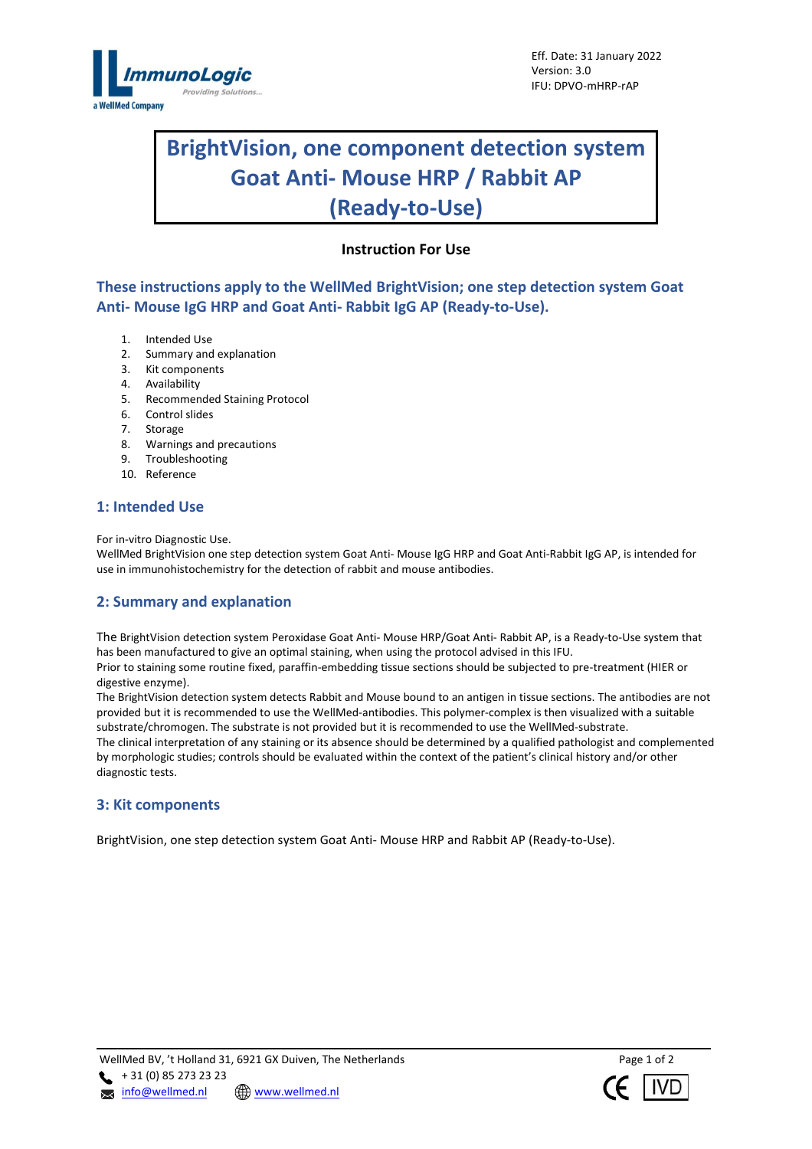

# **BrightVision, one component detection system Goat Anti- Mouse HRP / Rabbit AP (Ready-to-Use)**

# **Instruction For Use**

**These instructions apply to the WellMed BrightVision; one step detection system Goat Anti- Mouse IgG HRP and Goat Anti- Rabbit IgG AP (Ready-to-Use).**

- 1. Intended Use
- 2. Summary and explanation
- 3. Kit components
- 4. Availability
- 5. Recommended Staining Protocol
- 6. Control slides<br>7. Storage
- **Storage**
- 8. Warnings and precautions
- 9. Troubleshooting
- 10. Reference

## **1: Intended Use**

For in-vitro Diagnostic Use.

WellMed BrightVision one step detection system Goat Anti- Mouse IgG HRP and Goat Anti-Rabbit IgG AP, is intended for use in immunohistochemistry for the detection of rabbit and mouse antibodies.

## **2: Summary and explanation**

The BrightVision detection system Peroxidase Goat Anti- Mouse HRP/Goat Anti- Rabbit AP, is a Ready-to-Use system that has been manufactured to give an optimal staining, when using the protocol advised in this IFU. Prior to staining some routine fixed, paraffin-embedding tissue sections should be subjected to pre-treatment (HIER or

digestive enzyme).

The BrightVision detection system detects Rabbit and Mouse bound to an antigen in tissue sections. The antibodies are not provided but it is recommended to use the WellMed-antibodies. This polymer-complex is then visualized with a suitable substrate/chromogen. The substrate is not provided but it is recommended to use the WellMed-substrate. The clinical interpretation of any staining or its absence should be determined by a qualified pathologist and complemented by morphologic studies; controls should be evaluated within the context of the patient's clinical history and/or other diagnostic tests.

#### **3: Kit components**

BrightVision, one step detection system Goat Anti- Mouse HRP and Rabbit AP (Ready-to-Use).